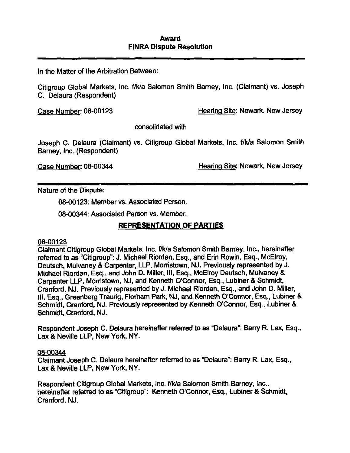In the Matter of the Arbitration Between:

Citigroup Global Markets, Inc. f/k/a Salomon Smith Barney, Inc. (Claimant) vs. Joseph C. Delaura (Respondent)

Case Number: 08-00123 Hearing Site: Newark, New Jersey

consolidated with

Joseph C. Delaura (Claimant) vs. Citigroup Global Markets, Inc. f/k/a Salomon Smith Barney, Inc. (Respondent)

Case Number: 08-00344 Hearing Site: Newark. New Jersey

Nature of the Dispute:

08-00123: Member vs. Associated Person.

08-00344: Associated Person vs. Member.

### REPRESENTATION OF PARTIES

### 08-00123

Claimant Citigroup Global Markets, Inc. f/k/a Salomon Smith Bamey, Inc., hereinafter referred to as "Citigroup": J. Michael Riordan, Esq., and Erin Rowin, Esq., McElroy, Deutsch, Mulvaney & Carpenter, LLP. Monistown, NJ. Previously represented by J. Michael Riordan, Esq.. and John D. Miller, III. Esq.. McElroy Deutsch. Mulvaney & Carpenter LLP, Morristown, NJ, and Kenneth O'Connor, Esq., Lubiner & Schmidt, Cranford, NJ. Previously represented by J. Michael Riordan, Esq., and John D. Miller, 111, Esq., Greenberg Traurig, Florham Part^, NJ. and Kenneth O'Connor, Esq., Lubiner & Schmidt, Cranford, NJ. Previously represented by Kenneth O'Connor, Esq., Lubiner & Schmidt, Cranford, NJ.

Respondent Joseph C. Delaura hereinafter referred to as "Delaura": Barry R. Lax, Esq., Lax & Neville LLP, New York, NY.

#### 08-00344

Claimant Joseph C. Delaura hereinafter referred to as "Delaura": Barry R. Lax. Esq., Lax & Neville LLP, New York. NY.

Respondent Citigroup Global Markets, Inc. f/k/a Salomon Smith Barney, Inc., hereinafter referred to as "Citigroup": Kenneth O'Connor, Esq., Lubiner & Schmidt, Cranford, NJ.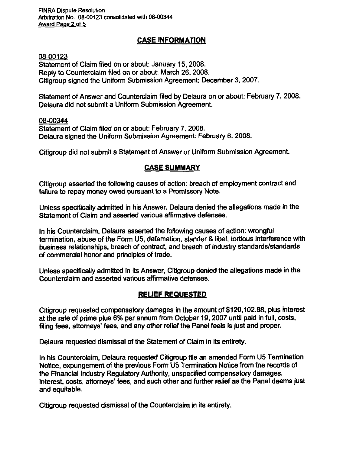FINRA Dispute Resolution Arbitration No. 08-00123 consolidated with 08-00344 Award Paoe 2 of 5

# CASE INFORMATION

08-00123

Statement of Claim filed on or about: January 15, 2008. Reply to Counterclaim filed on or about: March 26, 2008. Citigroup signed the Uniform Submission Agreement: December 3, 2007.

Statement of Answer and Counterclaim filed by Delaura on or about: February 7, 2008. Delaura did not submit a Uniform Submission Agreement.

08-00344 Statement of Claim filed on or about: February 7. 2008. Delaura signed the Uniform Submission Agreement: February 6, 2008.

Citigroup did not submit a Statement of Answer or Uniform Submission Agreement.

# CASE SUMMARY

Citigroup asserted the following causes of action: breach of employment contract and failure to repay money owed pursuant to a Promissory Note.

Unless specifically admitted in his Answer, Delaura denied the allegations made in the Statement of Claim and asserted various affirmative defenses.

In his Counterclaim, Delaura asserted the foilowing causes of action: wrongful termination, abuse of the Fonn U5, defamation, slander & libel, tortious interference with business relationships, breach of contract, and breach of industry standards/standards of commercial honor and principles of trade.

Unless specifically admitted in its Answer, Citigroup denied the allegations made in the Counterclaim and asserted various affirmative defenses.

# RELIEF REQUESTED

Citigroup requested compensatory damages in the amount of \$120,102.88. plus interest at the rate of prime plus 6% per annum from October 19,2007 until paid in full, costs, filing fees, attorneys' fees, and any other relief the Panel feels is just and proper.

Delaura requested dismissal of the Statement of Claim in its entirety.

In his Counterclaim, Delaura requested Citigroup file an amended Form U5 Termination Notice, expungement of the previous Form U5 Termination Notice from the records of the Financial Industry Regulatory Authority, unspecified compensatory damages, interest, costs, attorneys' fees, and such other and further relief as the Panel deems just and equitable.

Citigroup requested dismissal of the Counterclaim in its entirety.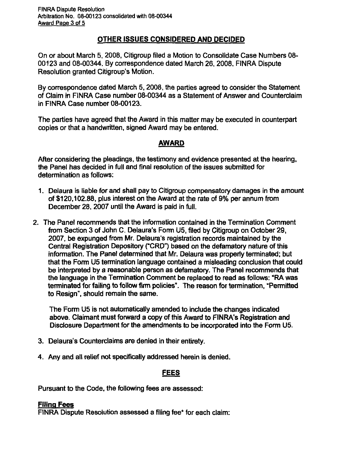# OTHER ISSUES CONSIDERED AND DECIDED

On or about March 5, 2008, Citigroup filed a Motion to Consolidate Case Numbers 08- 00123 and 08-00344. By correspondence dated March 26, 2008. FINRA Dispute Resolution granted Citigroup's Motion.

By correspondence dated March 5.2008, the parties agreed to consider the Statement of Claim in FINRA Case number 08-00344 as a Statement of Answer and Counterclaim in FINRA Case number 08-00123.

The parties have agreed that the Award in this matter may be executed in counterpart copies or that a handwritten, signed Award may be entered.

# AWARD

After considering the pleadings, the testimony and evidence presented at the hearing, the Panel has decided in full and final resolution of the issues submitted for determination as follows:

- 1. Delaura is liable for and shall pay to Citigroup compensatory damages in the amount of \$120,102.88. plus interest on the Award at the rate of 9% per annum from December 28, 2007 until the Award is paid in full.
- 2. The Panel recommends that the information contained in the Termination Comment from Section 3 of John C. Delaura's Fomn U5, filed by Citigroup on October 29, 2007, be expunged from Mr. Delaura's registration records maintained by the Central Registration Depository ("CRD") based on the defamatory nature of this information. The Panel determined that Mr. Delaura was properly terminated; but that the Form U5 temiination language contained a misleading conclusion that could be interpreted by a reasonable person as defamatory. The Panel recommends that the language in the Termination Comment be replaced to read as follows: "RA was terminated for failing to follow firm policies". The reason for termination, "Permitted to Resign", should remain the same.

The Fomi U5 is not automatically amended to include the changes indicated above. Claimant must forward a copy of this Award to FINRA's Registration and Disclosure Department for the amendments to be incorporated into the Form U5.

- 3. Delaura's Counterclaims are denied in their entirety.
- 4. Any and all relief not specifically addressed herein is denied.

# FEES

Pursuant to the Code, the following fees are assessed:

### Filing Fees

FINRA Dispute Resolution assessed a filing fee\* for each claim: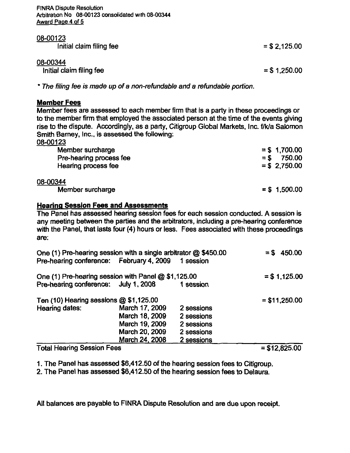FINRA Dispute Resolution Arbitration No 08-00123 consolidated with 08-00344 Award Page 4 of 5

| 08-00123<br>Initial claim filing fee | $=$ \$ 2,125.00 |
|--------------------------------------|-----------------|
| 08-00344<br>Initial claim filing fee | $=$ \$ 1,250.00 |

\* The filing fee is made up of a non-refundable and a refundable portion.

### Member Fees

Member fees are assessed to each member firm that is a party in these proceedings or to the member firm that employed the associated person at the time of the events giving rise to the dispute. Accordingly, as a party, Citigroup Global Markets, Inc. f/k/a Salomon Smith Barney, Inc., is assessed the following:

# 08-00123 Member surcharge  $= $ 1,700.00$ Pre-hearing process fee  $= $$  750.00 Hearing process fee  $= $ 2.750.00$ 08-00344 Member surcharge  $= $ 1,500.00$

### Hearing Session Fees and Assessments

The Panel has assessed hearing session fees for each session conducted. A session is any meeting between the parties and the arbitrators, Including a pre-hearing conference with the Panel, that lasts four (4) hours or less. Fees associated with these proceedings are:

| One (1) Pre-hearing session with a single arbitrator @ \$450.00 |                |            | $=$ \$450.00    |
|-----------------------------------------------------------------|----------------|------------|-----------------|
| Pre-hearing conference: February 4, 2009                        |                | 1 session  |                 |
| One (1) Pre-hearing session with Panel $@$ \$1,125.00           |                |            | $= $1,125.00$   |
| Pre-hearing conference: July 1, 2008                            |                | 1 session  |                 |
| Ten $(10)$ Hearing sessions $@$ \$1,125.00                      |                |            | $=$ \$11,250.00 |
| Hearing dates:                                                  | March 17, 2009 | 2 sessions |                 |
|                                                                 | March 18, 2009 | 2 sessions |                 |
|                                                                 | March 19, 2009 | 2 sessions |                 |
|                                                                 | March 20, 2009 | 2 sessions |                 |
|                                                                 | March 24, 2008 | 2 sessions |                 |
| <b>Total Hearing Session Fees</b>                               |                |            | $=$ \$12,825.00 |

1. The Panel has assessed \$6.412.50 of the hearing session fees to Citigroup.

2. The Panel has assessed \$6,412.50 of the hearing session fees to Delaura.

All balances are payable to FINRA Dispute Resolution and are due upon receipt.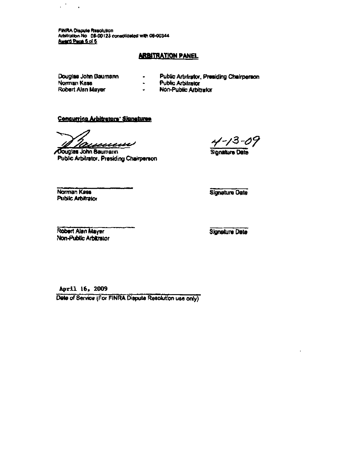FINRA Dispule Resolution Arbitrakion No. DS-DQ123 conscilaerted with 06-00344<br>.

#### **ARBITRATION PANEL**

Douglas John Oaumann Norman Kass

 $\mathcal{L}^{\mathcal{A}}$ 

 $\ddot{\phantom{a}}$ 

- Public Artifrator, Presiding Chairperson
- Public Arbitrator  $\blacksquare$

 $\bullet$ 

- Robert Alan Mayer
- $\bullet$ Non-Public Arbitrator

#### Concurring Arbitrators' Signatures

Tauxuu

/Douglas John Baumacin Public Arbitrator. Presiding Chairperson

 $3 - 09$ 

Signature Date

Norman Kass Public Arbitrator Signeture Date

.'Robert Alan Mayer Non-Public Arbltralor

Signature Date

April 16, 2009

Date of Service (For FINRA Dispute Resolution use only)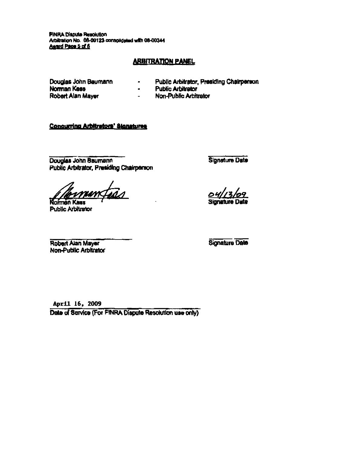**PINRA Dispute Resolution** Arbitration No. 08-00123 consolidated with 08-00344<br>Award Page 5 of 5

### **ARBITRATION PANEL**

Douglas John Baumann Norman Kass Robert Alan Mayer

- Public Arbitrator. Prasiding Chairperson
- Public Arbitrator  $\blacksquare$

 $\blacksquare$ 

 $\mathbf{L}$ Non-Public Arbitrator

#### **Concurring Arbitrators' Signatures**

Douglas John Baumann Public Arbitrator, Presiding Chairperson

mentias

**Norman Kass** Public Arbitrator

Signature Date

Signature Dale

Robert Alan Mayer Non-Public Arbitrator Signature Data

April 16, 2009

Date of Service (For FINRA Dispute Resolution use only)